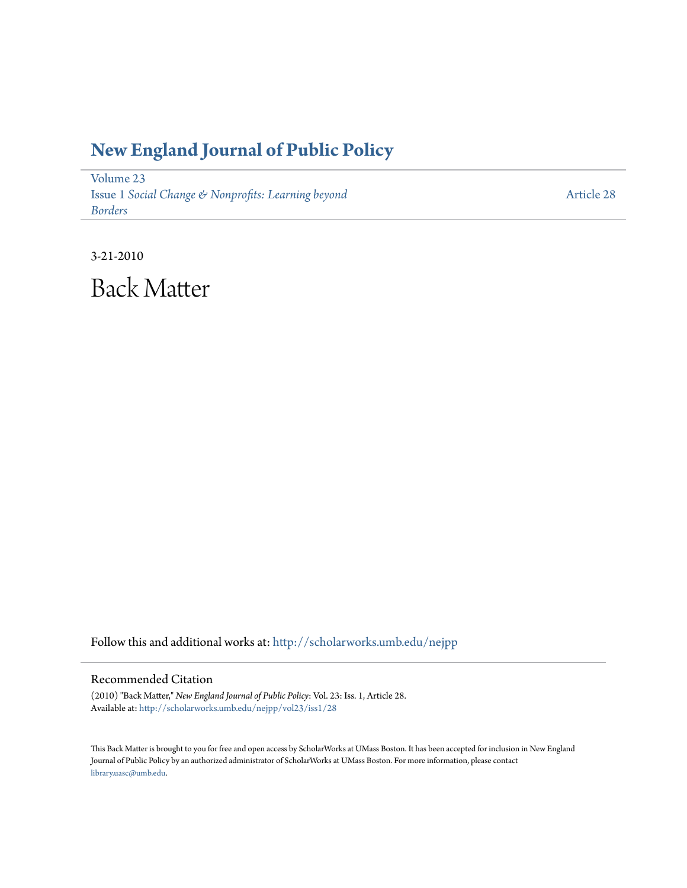## **[New England Journal of Public Policy](http://scholarworks.umb.edu/nejpp?utm_source=scholarworks.umb.edu%2Fnejpp%2Fvol23%2Fiss1%2F28&utm_medium=PDF&utm_campaign=PDFCoverPages)**

[Volume 23](http://scholarworks.umb.edu/nejpp/vol23?utm_source=scholarworks.umb.edu%2Fnejpp%2Fvol23%2Fiss1%2F28&utm_medium=PDF&utm_campaign=PDFCoverPages) Issue 1 *[Social Change & Nonprofits: Learning beyond](http://scholarworks.umb.edu/nejpp/vol23/iss1?utm_source=scholarworks.umb.edu%2Fnejpp%2Fvol23%2Fiss1%2F28&utm_medium=PDF&utm_campaign=PDFCoverPages) [Borders](http://scholarworks.umb.edu/nejpp/vol23/iss1?utm_source=scholarworks.umb.edu%2Fnejpp%2Fvol23%2Fiss1%2F28&utm_medium=PDF&utm_campaign=PDFCoverPages)*

[Article 28](http://scholarworks.umb.edu/nejpp/vol23/iss1/28?utm_source=scholarworks.umb.edu%2Fnejpp%2Fvol23%2Fiss1%2F28&utm_medium=PDF&utm_campaign=PDFCoverPages)

3-21-2010

Back Matter

Follow this and additional works at: [http://scholarworks.umb.edu/nejpp](http://scholarworks.umb.edu/nejpp?utm_source=scholarworks.umb.edu%2Fnejpp%2Fvol23%2Fiss1%2F28&utm_medium=PDF&utm_campaign=PDFCoverPages)

## Recommended Citation

(2010) "Back Matter," *New England Journal of Public Policy*: Vol. 23: Iss. 1, Article 28. Available at: [http://scholarworks.umb.edu/nejpp/vol23/iss1/28](http://scholarworks.umb.edu/nejpp/vol23/iss1/28?utm_source=scholarworks.umb.edu%2Fnejpp%2Fvol23%2Fiss1%2F28&utm_medium=PDF&utm_campaign=PDFCoverPages)

This Back Matter is brought to you for free and open access by ScholarWorks at UMass Boston. It has been accepted for inclusion in New England Journal of Public Policy by an authorized administrator of ScholarWorks at UMass Boston. For more information, please contact [library.uasc@umb.edu.](mailto:library.uasc@umb.edu)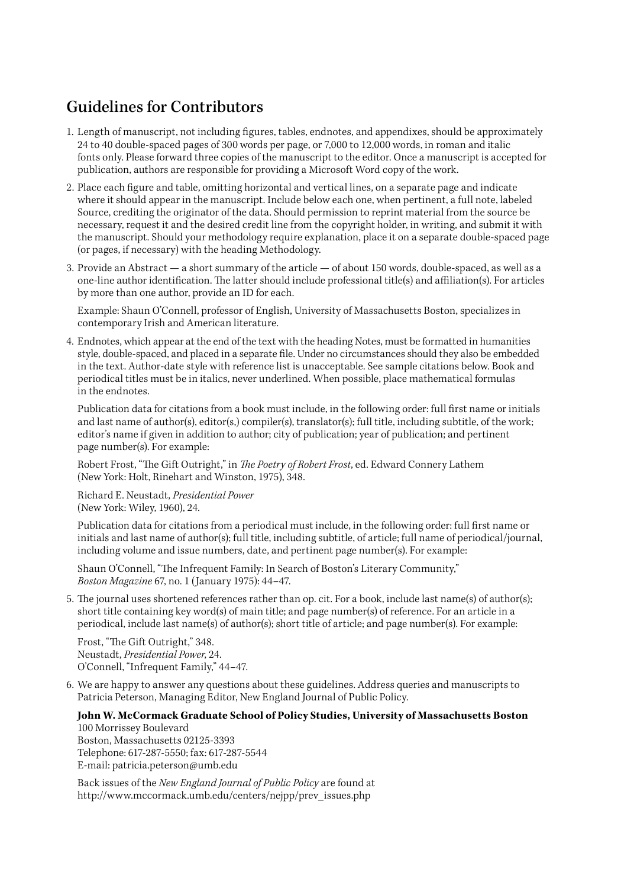## Guidelines for Contributors

- 1. Length of manuscript, not including figures, tables, endnotes, and appendixes, should be approximately 24 to 40 double-spaced pages of 300 words per page, or 7,000 to 12,000 words, in roman and italic fonts only. Please forward three copies of the manuscript to the editor. Once a manuscript is accepted for publication, authors are responsible for providing a Microsoft Word copy of the work.
- 2. Place each figure and table, omitting horizontal and vertical lines, on a separate page and indicate where it should appear in the manuscript. Include below each one, when pertinent, a full note, labeled Source, crediting the originator of the data. Should permission to reprint material from the source be necessary, request it and the desired credit line from the copyright holder, in writing, and submit it with the manuscript. Should your methodology require explanation, place it on a separate double-spaced page (or pages, if necessary) with the heading Methodology.
- 3. Provide an Abstract a short summary of the article of about 150 words, double-spaced, as well as a one-line author identification. The latter should include professional title(s) and affiliation(s). For articles by more than one author, provide an ID for each.

Example: Shaun O'Connell, professor of English, University of Massachusetts Boston, specializes in contemporary Irish and American literature.

4. Endnotes, which appear at the end of the text with the heading Notes, must be formatted in humanities style, double-spaced, and placed in a separate file. Under no circumstances should they also be embedded in the text. Author-date style with reference list is unacceptable. See sample citations below. Book and periodical titles must be in italics, never underlined. When possible, place mathematical formulas in the endnotes.

Publication data for citations from a book must include, in the following order: full first name or initials and last name of author(s), editor(s,) compiler(s), translator(s); full title, including subtitle, of the work; editor's name if given in addition to author; city of publication; year of publication; and pertinent page number(s). For example:

Robert Frost, "The Gift Outright," in *The Poetry of Robert Frost*, ed. Edward Connery Lathem (New York: Holt, Rinehart and Winston, 1975), 348.

Richard E. Neustadt, *Presidential Power* (New York: Wiley, 1960), 24.

Publication data for citations from a periodical must include, in the following order: full first name or initials and last name of author(s); full title, including subtitle, of article; full name of periodical/journal, including volume and issue numbers, date, and pertinent page number(s). For example:

Shaun O'Connell, "The Infrequent Family: In Search of Boston's Literary Community," *Boston Magazine* 67, no. 1 (January 1975): 44–47.

5. The journal uses shortened references rather than op. cit. For a book, include last name(s) of author(s); short title containing key word(s) of main title; and page number(s) of reference. For an article in a periodical, include last name(s) of author(s); short title of article; and page number(s). For example:

Frost, "The Gift Outright," 348. Neustadt, *Presidential Power*, 24. O'Connell, "Infrequent Family," 44–47.

6. We are happy to answer any questions about these guidelines. Address queries and manuscripts to Patricia Peterson, Managing Editor, New England Journal of Public Policy.

## **John W. McCormack Graduate School of Policy Studies, University of Massachusetts Boston** 100 Morrissey Boulevard

Boston, Massachusetts 02125-3393 Telephone: 617-287-5550; fax: 617-287-5544 E-mail: patricia.peterson@umb.edu

Back issues of the *New England Journal of Public Policy* are found at http://www.mccormack.umb.edu/centers/nejpp/prev\_issues.php